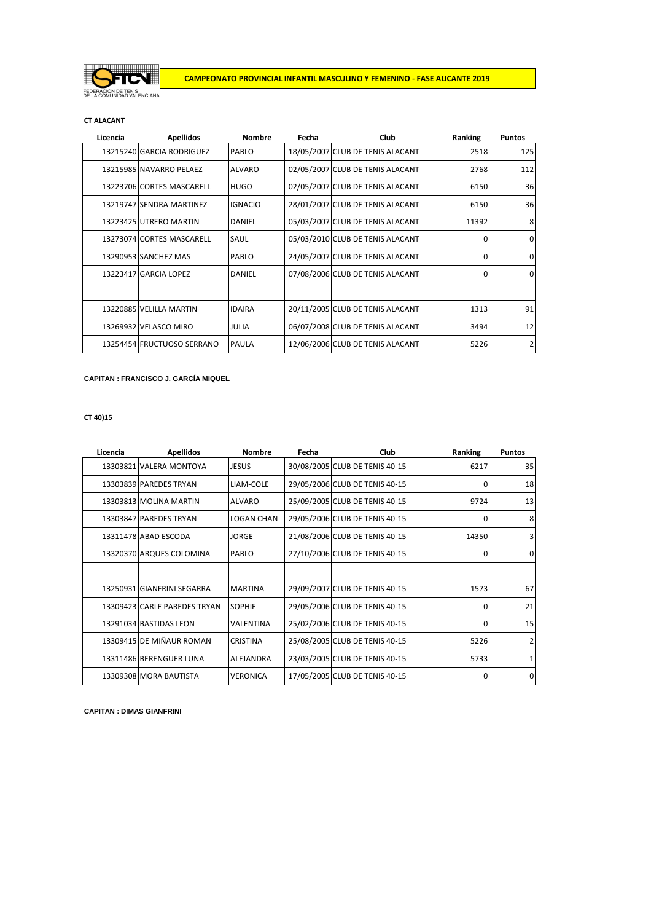

### **CT ALACANT**

| Licencia | <b>Apellidos</b>           | <b>Nombre</b>  | Fecha | Club                             | Ranking | <b>Puntos</b> |
|----------|----------------------------|----------------|-------|----------------------------------|---------|---------------|
|          | 13215240 GARCIA RODRIGUEZ  | PABLO          |       | 18/05/2007 CLUB DE TENIS ALACANT | 2518    | 125           |
|          | 13215985 NAVARRO PELAEZ    | <b>ALVARO</b>  |       | 02/05/2007 CLUB DE TENIS ALACANT | 2768    | 112           |
|          | 13223706 CORTES MASCARELL  | <b>HUGO</b>    |       | 02/05/2007 CLUB DE TENIS ALACANT | 6150    | 36            |
|          | 13219747 SENDRA MARTINEZ   | <b>IGNACIO</b> |       | 28/01/2007 CLUB DE TENIS ALACANT | 6150    | 36            |
|          | 13223425 UTRERO MARTIN     | DANIEL         |       | 05/03/2007 CLUB DE TENIS ALACANT | 11392   | 8             |
|          | 13273074 CORTES MASCARELL  | <b>SAUL</b>    |       | 05/03/2010 CLUB DE TENIS ALACANT | 0       | $\Omega$      |
|          | 13290953 SANCHEZ MAS       | PABLO          |       | 24/05/2007 CLUB DE TENIS ALACANT | 0       | $\Omega$      |
|          | 13223417 GARCIA LOPEZ      | <b>DANIEL</b>  |       | 07/08/2006 CLUB DE TENIS ALACANT | 0       | O             |
|          |                            |                |       |                                  |         |               |
|          | 13220885 VELILLA MARTIN    | <b>IDAIRA</b>  |       | 20/11/2005 CLUB DE TENIS ALACANT | 1313    | 91            |
|          | 13269932 VELASCO MIRO      | <b>JULIA</b>   |       | 06/07/2008 CLUB DE TENIS ALACANT | 3494    | 12            |
|          | 13254454 FRUCTUOSO SERRANO | <b>PAULA</b>   |       | 12/06/2006 CLUB DE TENIS ALACANT | 5226    | 2             |

**CAPITAN : FRANCISCO J. GARCÍA MIQUEL**

**CT 40)15**

| Licencia | <b>Apellidos</b>             | <b>Nombre</b>     | Fecha | Club                           | Ranking      | <b>Puntos</b> |
|----------|------------------------------|-------------------|-------|--------------------------------|--------------|---------------|
|          | 13303821 VALERA MONTOYA      | <b>JESUS</b>      |       | 30/08/2005 CLUB DE TENIS 40-15 | 6217         | 35            |
|          | 13303839 PAREDES TRYAN       | LIAM-COLE         |       | 29/05/2006 CLUB DE TENIS 40-15 | 0            | 18            |
|          | 13303813 MOLINA MARTIN       | <b>ALVARO</b>     |       | 25/09/2005 CLUB DE TENIS 40-15 | 9724         | 13            |
|          | 13303847 PAREDES TRYAN       | <b>LOGAN CHAN</b> |       | 29/05/2006 CLUB DE TENIS 40-15 | $\Omega$     | 8             |
|          | 13311478 ABAD ESCODA         | <b>JORGE</b>      |       | 21/08/2006 CLUB DE TENIS 40-15 | 14350        | 3             |
|          | 13320370 ARQUES COLOMINA     | PABLO             |       | 27/10/2006 CLUB DE TENIS 40-15 | $\Omega$     | $\Omega$      |
|          |                              |                   |       |                                |              |               |
|          | 13250931 GIANFRINI SEGARRA   | <b>MARTINA</b>    |       | 29/09/2007 CLUB DE TENIS 40-15 | 1573         | 67            |
|          | 13309423 CARLE PAREDES TRYAN | <b>SOPHIE</b>     |       | 29/05/2006 CLUB DE TENIS 40-15 | $\Omega$     | 21            |
|          | 13291034 BASTIDAS LEON       | <b>VALENTINA</b>  |       | 25/02/2006 CLUB DE TENIS 40-15 | $\Omega$     | 15            |
|          | 13309415 DE MIÑAUR ROMAN     | <b>CRISTINA</b>   |       | 25/08/2005 CLUB DE TENIS 40-15 | 5226         | 2             |
|          | 13311486 BERENGUER LUNA      | ALEJANDRA         |       | 23/03/2005 CLUB DE TENIS 40-15 | 5733         |               |
|          | 13309308 MORA BAUTISTA       | <b>VERONICA</b>   |       | 17/05/2005 CLUB DE TENIS 40-15 | <sup>0</sup> | $\Omega$      |

**CAPITAN : DIMAS GIANFRINI**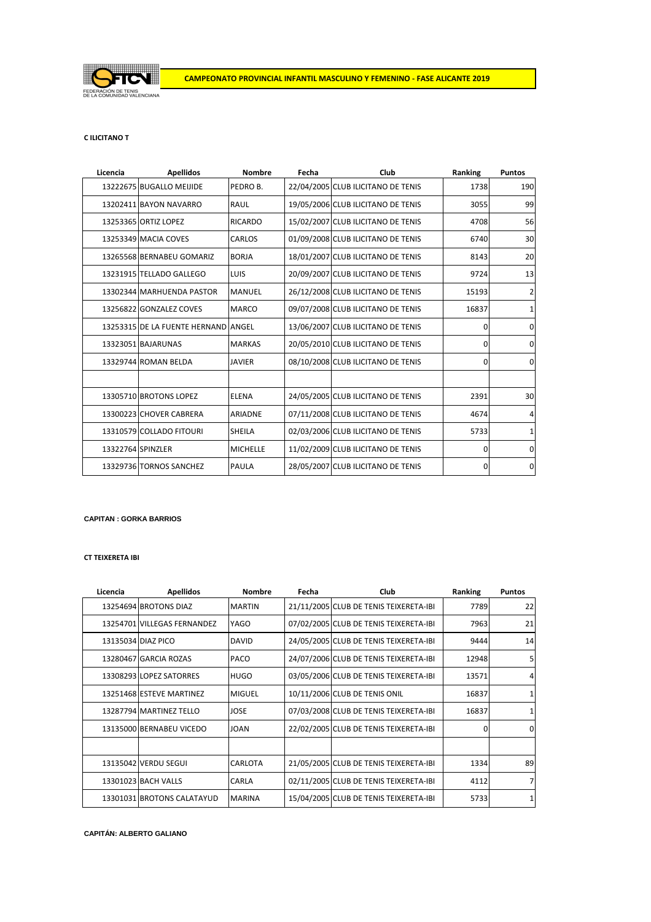

## **C ILICITANO T**

| Licencia          | <b>Apellidos</b>                    | <b>Nombre</b>   | Fecha | Club                               | Ranking  | <b>Puntos</b>  |
|-------------------|-------------------------------------|-----------------|-------|------------------------------------|----------|----------------|
|                   | 13222675 BUGALLO MEIJIDE            | PEDRO B.        |       | 22/04/2005 CLUB ILICITANO DE TENIS | 1738     | 190            |
|                   | 13202411 BAYON NAVARRO              | RAUL            |       | 19/05/2006 CLUB ILICITANO DE TENIS | 3055     | 99             |
|                   | 13253365 ORTIZ LOPEZ                | <b>RICARDO</b>  |       | 15/02/2007 CLUB ILICITANO DE TENIS | 4708     | 56             |
|                   | 13253349 MACIA COVES                | CARLOS          |       | 01/09/2008 CLUB ILICITANO DE TENIS | 6740     | 30             |
|                   | 13265568 BERNABEU GOMARIZ           | <b>BORJA</b>    |       | 18/01/2007 CLUB ILICITANO DE TENIS | 8143     | 20             |
|                   | 13231915 TELLADO GALLEGO            | LUIS            |       | 20/09/2007 CLUB ILICITANO DE TENIS | 9724     | 13             |
|                   | 13302344 MARHUENDA PASTOR           | <b>MANUEL</b>   |       | 26/12/2008 CLUB ILICITANO DE TENIS | 15193    | $\overline{2}$ |
|                   | 13256822 GONZALEZ COVES             | <b>MARCO</b>    |       | 09/07/2008 CLUB ILICITANO DE TENIS | 16837    |                |
|                   | 13253315 DE LA FUENTE HERNAND ANGEL |                 |       | 13/06/2007 CLUB ILICITANO DE TENIS | 0        | $\Omega$       |
|                   | 13323051 BAJARUNAS                  | <b>MARKAS</b>   |       | 20/05/2010 CLUB ILICITANO DE TENIS | 0        | $\Omega$       |
|                   | 13329744 ROMAN BELDA                | <b>JAVIER</b>   |       | 08/10/2008 CLUB ILICITANO DE TENIS | 0        | $\Omega$       |
|                   |                                     |                 |       |                                    |          |                |
|                   | 13305710 BROTONS LOPEZ              | <b>ELENA</b>    |       | 24/05/2005 CLUB ILICITANO DE TENIS | 2391     | 30             |
|                   | 13300223 CHOVER CABRERA             | <b>ARIADNE</b>  |       | 07/11/2008 CLUB ILICITANO DE TENIS | 4674     | 4              |
|                   | 13310579 COLLADO FITOURI            | <b>SHEILA</b>   |       | 02/03/2006 CLUB ILICITANO DE TENIS | 5733     | 1              |
| 13322764 SPINZLER |                                     | <b>MICHELLE</b> |       | 11/02/2009 CLUB ILICITANO DE TENIS | 0        | $\Omega$       |
|                   | 13329736 TORNOS SANCHEZ             | PAULA           |       | 28/05/2007 CLUB ILICITANO DE TENIS | $\Omega$ | 0              |

### **CAPITAN : GORKA BARRIOS**

# **CT TEIXERETA IBI**

| Licencia | <b>Apellidos</b>            | <b>Nombre</b>  | Fecha | Club                                   | Ranking | <b>Puntos</b> |
|----------|-----------------------------|----------------|-------|----------------------------------------|---------|---------------|
|          | 13254694 BROTONS DIAZ       | <b>MARTIN</b>  |       | 21/11/2005 CLUB DE TENIS TEIXERETA-IBI | 7789    | 22            |
|          | 13254701 VILLEGAS FERNANDEZ | YAGO           |       | 07/02/2005 CLUB DE TENIS TEIXERETA-IBI | 7963    | 21            |
|          | 13135034 DIAZ PICO          | <b>DAVID</b>   |       | 24/05/2005 CLUB DE TENIS TEIXERETA-IBI | 9444    | 14            |
|          | 13280467 GARCIA ROZAS       | PACO           |       | 24/07/2006 CLUB DE TENIS TEIXERETA-IBI | 12948   |               |
|          | 13308293 LOPEZ SATORRES     | <b>HUGO</b>    |       | 03/05/2006 CLUB DE TENIS TEIXERETA-IBI | 13571   | 4             |
|          | 13251468 ESTEVE MARTINEZ    | <b>MIGUEL</b>  |       | 10/11/2006 CLUB DE TENIS ONIL          | 16837   |               |
|          | 13287794 MARTINEZ TELLO     | <b>JOSE</b>    |       | 07/03/2008 CLUB DE TENIS TEIXERETA-IBI | 16837   |               |
|          | 13135000 BERNABEU VICEDO    | <b>JOAN</b>    |       | 22/02/2005 CLUB DE TENIS TEIXERETA-IBI | O       | $\Omega$      |
|          |                             |                |       |                                        |         |               |
|          | 13135042 VERDU SEGUI        | <b>CARLOTA</b> |       | 21/05/2005 CLUB DE TENIS TEIXERETA-IBI | 1334    | 89            |
|          | 13301023 BACH VALLS         | CARLA          |       | 02/11/2005 CLUB DE TENIS TEIXERETA-IBI | 4112    |               |
|          | 13301031 BROTONS CALATAYUD  | <b>MARINA</b>  |       | 15/04/2005 CLUB DE TENIS TEIXERETA-IBI | 5733    |               |

# **CAPITÁN: ALBERTO GALIANO**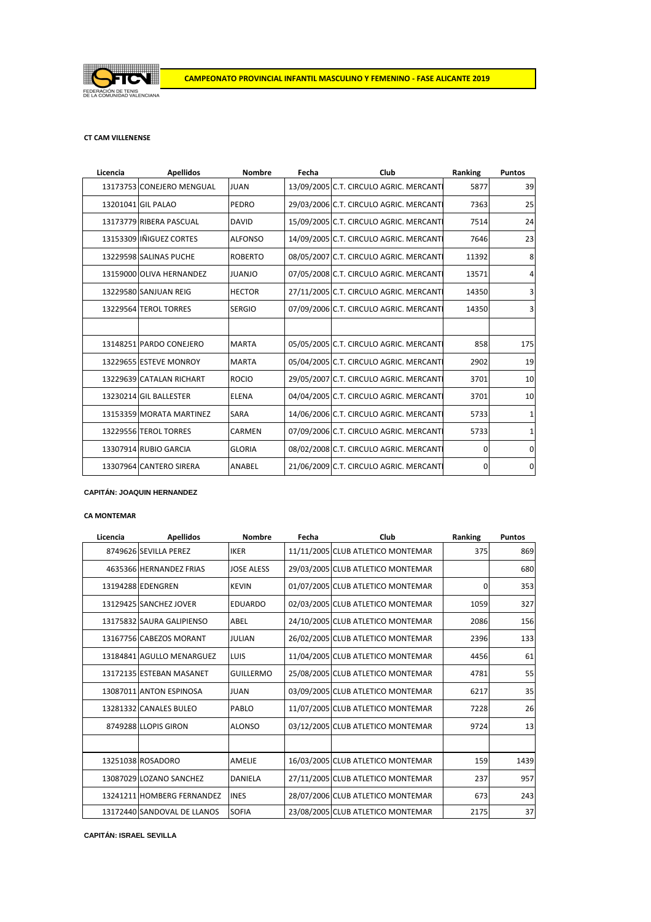

## **CT CAM VILLENENSE**

| Licencia | <b>Apellidos</b>          | <b>Nombre</b>  | Fecha | Club                                    | Ranking  | <b>Puntos</b> |
|----------|---------------------------|----------------|-------|-----------------------------------------|----------|---------------|
|          | 13173753 CONEJERO MENGUAL | <b>JUAN</b>    |       | 13/09/2005 C.T. CIRCULO AGRIC. MERCANTI | 5877     | 39            |
|          | 13201041 GIL PALAO        | <b>PEDRO</b>   |       | 29/03/2006 C.T. CIRCULO AGRIC. MERCANTI | 7363     | 25            |
|          | 13173779 RIBERA PASCUAL   | <b>DAVID</b>   |       | 15/09/2005 C.T. CIRCULO AGRIC. MERCANTI | 7514     | 24            |
|          | 13153309 IÑIGUEZ CORTES   | <b>ALFONSO</b> |       | 14/09/2005 C.T. CIRCULO AGRIC. MERCANTI | 7646     | 23            |
|          | 13229598 SALINAS PUCHE    | <b>ROBERTO</b> |       | 08/05/2007 C.T. CIRCULO AGRIC. MERCANTI | 11392    | 8             |
|          | 13159000 OLIVA HERNANDEZ  | <b>JUANJO</b>  |       | 07/05/2008 C.T. CIRCULO AGRIC. MERCANTI | 13571    | 4             |
|          | 13229580 SANJUAN REIG     | <b>HECTOR</b>  |       | 27/11/2005 C.T. CIRCULO AGRIC. MERCANTI | 14350    |               |
|          | 13229564 TEROL TORRES     | <b>SERGIO</b>  |       | 07/09/2006 C.T. CIRCULO AGRIC. MERCANTI | 14350    |               |
|          |                           |                |       |                                         |          |               |
|          | 13148251 PARDO CONEJERO   | <b>MARTA</b>   |       | 05/05/2005 C.T. CIRCULO AGRIC. MERCANTI | 858      | 175           |
|          | 13229655 ESTEVE MONROY    | <b>MARTA</b>   |       | 05/04/2005 C.T. CIRCULO AGRIC. MERCANTI | 2902     | 19            |
|          | 13229639 CATALAN RICHART  | <b>ROCIO</b>   |       | 29/05/2007 C.T. CIRCULO AGRIC. MERCANTI | 3701     | 10            |
|          | 13230214 GIL BALLESTER    | <b>ELENA</b>   |       | 04/04/2005 C.T. CIRCULO AGRIC. MERCANTI | 3701     | 10            |
|          | 13153359 MORATA MARTINEZ  | <b>SARA</b>    |       | 14/06/2006 C.T. CIRCULO AGRIC. MERCANTI | 5733     |               |
|          | 13229556 TEROL TORRES     | CARMEN         |       | 07/09/2006 C.T. CIRCULO AGRIC. MERCANTI | 5733     |               |
|          | 13307914 RUBIO GARCIA     | <b>GLORIA</b>  |       | 08/02/2008 C.T. CIRCULO AGRIC. MERCANTI | 0        | $\Omega$      |
|          | 13307964 CANTERO SIRERA   | ANABEL         |       | 21/06/2009 C.T. CIRCULO AGRIC. MERCANTI | $\Omega$ | $\Omega$      |

### **CAPITÁN: JOAQUIN HERNANDEZ**

## **CA MONTEMAR**

| Licencia | <b>Apellidos</b>            | <b>Nombre</b>     | Fecha | Club                              | Ranking | <b>Puntos</b> |
|----------|-----------------------------|-------------------|-------|-----------------------------------|---------|---------------|
|          | 8749626 SEVILLA PEREZ       | <b>IKER</b>       |       | 11/11/2005 CLUB ATLETICO MONTEMAR | 375     | 869           |
|          | 4635366 HERNANDEZ FRIAS     | <b>JOSE ALESS</b> |       | 29/03/2005 CLUB ATLETICO MONTEMAR |         | 680           |
|          | 13194288 EDENGREN           | <b>KEVIN</b>      |       | 01/07/2005 CLUB ATLETICO MONTEMAR | 0       | 353           |
|          | 13129425 SANCHEZ JOVER      | <b>EDUARDO</b>    |       | 02/03/2005 CLUB ATLETICO MONTEMAR | 1059    | 327           |
|          | 13175832 SAURA GALIPIENSO   | ABEL              |       | 24/10/2005 CLUB ATLETICO MONTEMAR | 2086    | 156           |
|          | 13167756 CABEZOS MORANT     | <b>JULIAN</b>     |       | 26/02/2005 CLUB ATLETICO MONTEMAR | 2396    | 133           |
|          | 13184841 AGULLO MENARGUEZ   | LUIS              |       | 11/04/2005 CLUB ATLETICO MONTEMAR | 4456    | 61            |
|          | 13172135 ESTEBAN MASANET    | <b>GUILLERMO</b>  |       | 25/08/2005 CLUB ATLETICO MONTEMAR | 4781    | 55            |
|          | 13087011 ANTON ESPINOSA     | <b>JUAN</b>       |       | 03/09/2005 CLUB ATLETICO MONTEMAR | 6217    | 35            |
|          | 13281332 CANALES BULEO      | PABLO             |       | 11/07/2005 CLUB ATLETICO MONTEMAR | 7228    | 26            |
|          | 8749288 LLOPIS GIRON        | <b>ALONSO</b>     |       | 03/12/2005 CLUB ATLETICO MONTEMAR | 9724    | 13            |
|          |                             |                   |       |                                   |         |               |
|          | 13251038 ROSADORO           | <b>AMELIE</b>     |       | 16/03/2005 CLUB ATLETICO MONTEMAR | 159     | 1439          |
|          | 13087029 LOZANO SANCHEZ     | DANIELA           |       | 27/11/2005 CLUB ATLETICO MONTEMAR | 237     | 957           |
|          | 13241211 HOMBERG FERNANDEZ  | <b>INES</b>       |       | 28/07/2006 CLUB ATLETICO MONTEMAR | 673     | 243           |
|          | 13172440 SANDOVAL DE LLANOS | <b>SOFIA</b>      |       | 23/08/2005 CLUB ATLETICO MONTEMAR | 2175    | 37            |

**CAPITÁN: ISRAEL SEVILLA**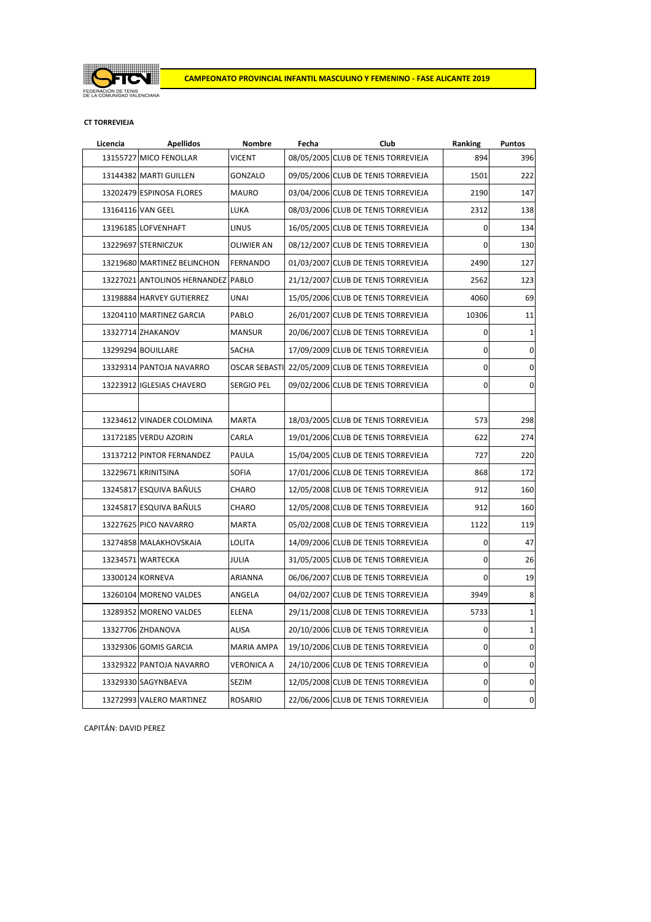

## **CT TORREVIEJA**

| Licencia | <b>Apellidos</b>                   | Nombre            | Fecha | Club                                              | Ranking        | <b>Puntos</b>  |
|----------|------------------------------------|-------------------|-------|---------------------------------------------------|----------------|----------------|
|          | 13155727 MICO FENOLLAR             | VICENT            |       | 08/05/2005 CLUB DE TENIS TORREVIEJA               | 894            | 396            |
|          | 13144382 MARTI GUILLEN             | GONZALO           |       | 09/05/2006 CLUB DE TENIS TORREVIEJA               | 1501           | 222            |
|          | 13202479 ESPINOSA FLORES           | <b>MAURO</b>      |       | 03/04/2006 CLUB DE TENIS TORREVIEJA               | 2190           | 147            |
|          | 13164116 VAN GEEL                  | LUKA              |       | 08/03/2006 CLUB DE TENIS TORREVIEJA               | 2312           | 138            |
|          | 13196185 LOFVENHAFT                | LINUS             |       | 16/05/2005 CLUB DE TENIS TORREVIEJA               | $\mathbf 0$    | 134            |
|          | 13229697 STERNICZUK                | <b>OLIWIER AN</b> |       | 08/12/2007 CLUB DE TENIS TORREVIEJA               | 0              | 130            |
|          | 13219680 MARTINEZ BELINCHON        | <b>FERNANDO</b>   |       | 01/03/2007 CLUB DE TENIS TORREVIEJA               | 2490           | 127            |
|          | 13227021 ANTOLINOS HERNANDEZ PABLO |                   |       | 21/12/2007 CLUB DE TENIS TORREVIEJA               | 2562           | 123            |
|          | 13198884 HARVEY GUTIERREZ          | <b>UNAI</b>       |       | 15/05/2006 CLUB DE TENIS TORREVIEJA               | 4060           | 69             |
|          | 13204110 MARTINEZ GARCIA           | PABLO             |       | 26/01/2007 CLUB DE TENIS TORREVIEJA               | 10306          | 11             |
|          | 13327714 ZHAKANOV                  | <b>MANSUR</b>     |       | 20/06/2007 CLUB DE TENIS TORREVIEJA               | 0              | 1              |
|          | 13299294 BOUILLARE                 | <b>SACHA</b>      |       | 17/09/2009 CLUB DE TENIS TORREVIEJA               | $\mathbf 0$    | $\mathbf 0$    |
|          | 13329314 PANTOJA NAVARRO           |                   |       | OSCAR SEBASTI 22/05/2009 CLUB DE TENIS TORREVIEJA | $\mathbf 0$    | $\mathbf 0$    |
|          | 13223912 IGLESIAS CHAVERO          | <b>SERGIO PEL</b> |       | 09/02/2006 CLUB DE TENIS TORREVIEJA               | $\overline{0}$ | $\overline{0}$ |
|          |                                    |                   |       |                                                   |                |                |
|          | 13234612 VINADER COLOMINA          | <b>MARTA</b>      |       | 18/03/2005 CLUB DE TENIS TORREVIEJA               | 573            | 298            |
|          | 13172185 VERDU AZORIN              | CARLA             |       | 19/01/2006 CLUB DE TENIS TORREVIEJA               | 622            | 274            |
|          | 13137212 PINTOR FERNANDEZ          | PAULA             |       | 15/04/2005 CLUB DE TENIS TORREVIEJA               | 727            | 220            |
|          | 13229671 KRINITSINA                | <b>SOFIA</b>      |       | 17/01/2006 CLUB DE TENIS TORREVIEJA               | 868            | 172            |
|          | 13245817 ESQUIVA BAÑULS            | <b>CHARO</b>      |       | 12/05/2008 CLUB DE TENIS TORREVIEJA               | 912            | 160            |
|          | 13245817 ESQUIVA BAÑULS            | CHARO             |       | 12/05/2008 CLUB DE TENIS TORREVIEJA               | 912            | 160            |
|          | 13227625 PICO NAVARRO              | <b>MARTA</b>      |       | 05/02/2008 CLUB DE TENIS TORREVIEJA               | 1122           | 119            |
|          | 13274858 MALAKHOVSKAIA             | LOLITA            |       | 14/09/2006 CLUB DE TENIS TORREVIEJA               | 0              | 47             |
|          | 13234571 WARTECKA                  | JULIA             |       | 31/05/2005 CLUB DE TENIS TORREVIEJA               | 0              | 26             |
|          | 13300124 KORNEVA                   | ARIANNA           |       | 06/06/2007 CLUB DE TENIS TORREVIEJA               | $\mathbf{0}$   | 19             |
|          | 13260104 MORENO VALDES             | ANGELA            |       | 04/02/2007 CLUB DE TENIS TORREVIEJA               | 3949           | 8              |
|          | 13289352 MORENO VALDES             | ELENA             |       | 29/11/2008 CLUB DE TENIS TORREVIEJA               | 5733           | $\mathbf{1}$   |
|          | 13327706 ZHDANOVA                  | ALISA             |       | 20/10/2006 CLUB DE TENIS TORREVIEJA               | $\mathbf 0$    | 1              |
|          | 13329306 GOMIS GARCIA              | MARIA AMPA        |       | 19/10/2006 CLUB DE TENIS TORREVIEJA               | $\mathbf 0$    | $\pmb{0}$      |
|          | 13329322 PANTOJA NAVARRO           | <b>VERONICA A</b> |       | 24/10/2006 CLUB DE TENIS TORREVIEJA               | $\pmb{0}$      | $\pmb{0}$      |
|          | 13329330 SAGYNBAEVA                | <b>SEZIM</b>      |       | 12/05/2008 CLUB DE TENIS TORREVIEJA               | 0              | $\mathbf 0$    |
|          | 13272993 VALERO MARTINEZ           | <b>ROSARIO</b>    |       | 22/06/2006 CLUB DE TENIS TORREVIEJA               | $\mathbf 0$    | $\pmb{0}$      |

CAPITÁN: DAVID PEREZ